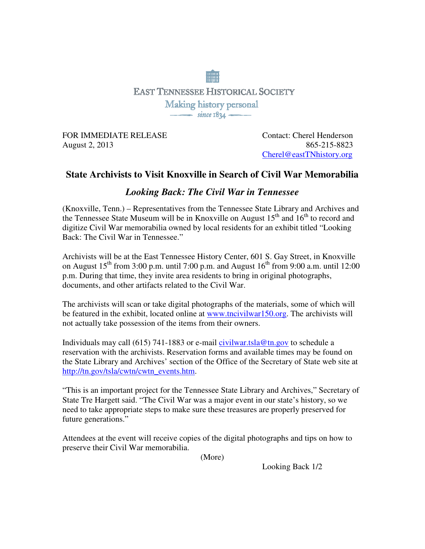## **EAST TENNESSEE HISTORICAL SOCIETY** Making history personal  $\frac{1}{\sqrt{1-\frac{1}{2}}\sqrt{1-\frac{1}{2}}\sqrt{1-\frac{1}{2}}}}$

FOR IMMEDIATE RELEASE Contact: Cherel Henderson August 2, 2013865-215-8823

Cherel@eastTNhistory.org

## **State Archivists to Visit Knoxville in Search of Civil War Memorabilia**

## *Looking Back: The Civil War in Tennessee*

(Knoxville, Tenn.) – Representatives from the Tennessee State Library and Archives and the Tennessee State Museum will be in Knoxville on August 15<sup>th</sup> and 16<sup>th</sup> to record and digitize Civil War memorabilia owned by local residents for an exhibit titled "Looking Back: The Civil War in Tennessee."

Archivists will be at the East Tennessee History Center, 601 S. Gay Street, in Knoxville on August  $15^{th}$  from 3:00 p.m. until 7:00 p.m. and August  $16^{th}$  from 9:00 a.m. until 12:00 p.m. During that time, they invite area residents to bring in original photographs, documents, and other artifacts related to the Civil War.

The archivists will scan or take digital photographs of the materials, some of which will be featured in the exhibit, located online at www.tncivilwar150.org. The archivists will not actually take possession of the items from their owners.

Individuals may call (615) 741-1883 or e-mail civilwar.tsla@tn.gov to schedule a reservation with the archivists. Reservation forms and available times may be found on the State Library and Archives' section of the Office of the Secretary of State web site at http://tn.gov/tsla/cwtn/cwtn\_events.htm.

"This is an important project for the Tennessee State Library and Archives," Secretary of State Tre Hargett said. "The Civil War was a major event in our state's history, so we need to take appropriate steps to make sure these treasures are properly preserved for future generations."

Attendees at the event will receive copies of the digital photographs and tips on how to preserve their Civil War memorabilia.

(More)

Looking Back 1/2